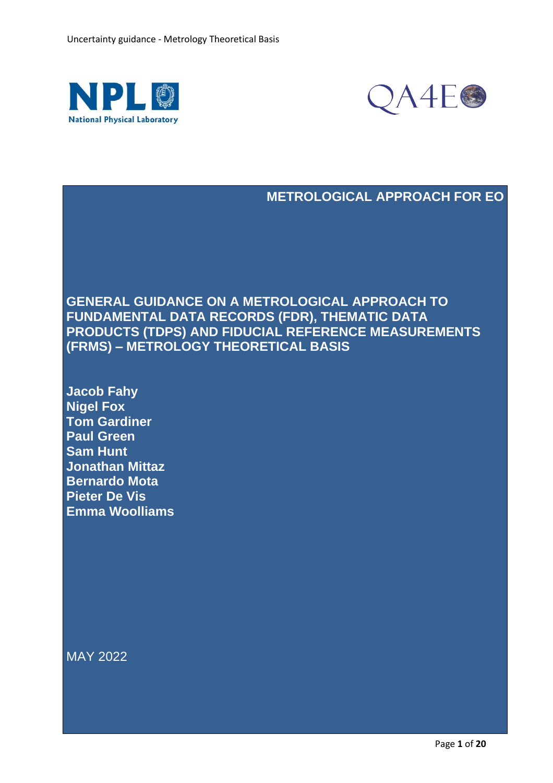



## **METROLOGICAL APPROACH FOR EO**

**GENERAL GUIDANCE ON A METROLOGICAL APPROACH TO FUNDAMENTAL DATA RECORDS (FDR), THEMATIC DATA PRODUCTS (TDPS) AND FIDUCIAL REFERENCE MEASUREMENTS (FRMS) – METROLOGY THEORETICAL BASIS**

**Jacob Fahy Nigel Fox Tom Gardiner Paul Green Sam Hunt Jonathan Mittaz Bernardo Mota Pieter De Vis Emma Woolliams**

MAY 2022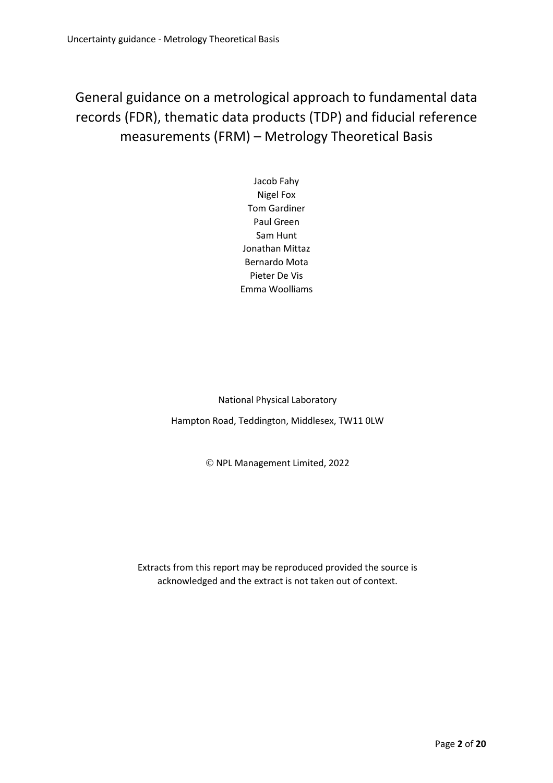General guidance on a metrological approach to fundamental data records (FDR), thematic data products (TDP) and fiducial reference measurements (FRM) – Metrology Theoretical Basis

> Jacob Fahy Nigel Fox Tom Gardiner Paul Green Sam Hunt Jonathan Mittaz Bernardo Mota Pieter De Vis Emma Woolliams

National Physical Laboratory

Hampton Road, Teddington, Middlesex, TW11 0LW

© NPL Management Limited, 2022

Extracts from this report may be reproduced provided the source is acknowledged and the extract is not taken out of context.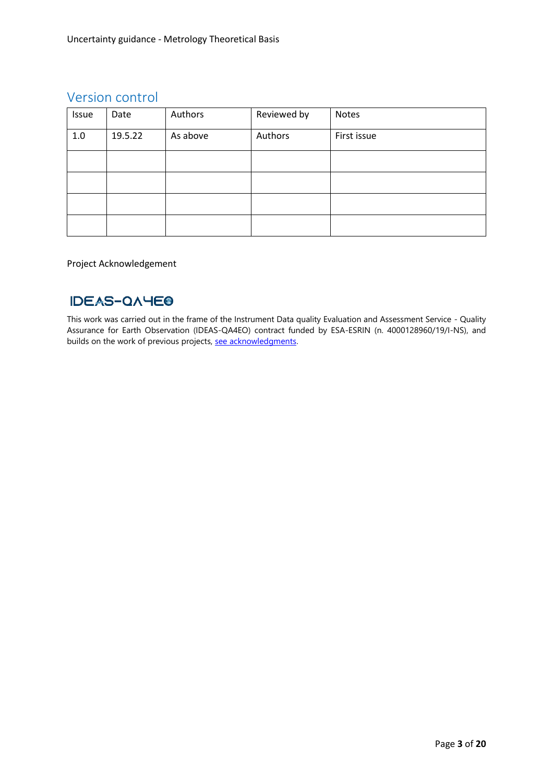## Version control

| Issue | Date    | Authors  | Reviewed by | Notes       |
|-------|---------|----------|-------------|-------------|
| 1.0   | 19.5.22 | As above | Authors     | First issue |
|       |         |          |             |             |
|       |         |          |             |             |
|       |         |          |             |             |
|       |         |          |             |             |

### Project Acknowledgement

## **IDEAS-QAYEO**

This work was carried out in the frame of the Instrument Data quality Evaluation and Assessment Service - Quality Assurance for Earth Observation (IDEAS-QA4EO) contract funded by ESA-ESRIN (n. 4000128960/19/I-NS), and builds on the work of previous projects, [see acknowledgments.](https://qa4eo.org/about/acknowledgements.html)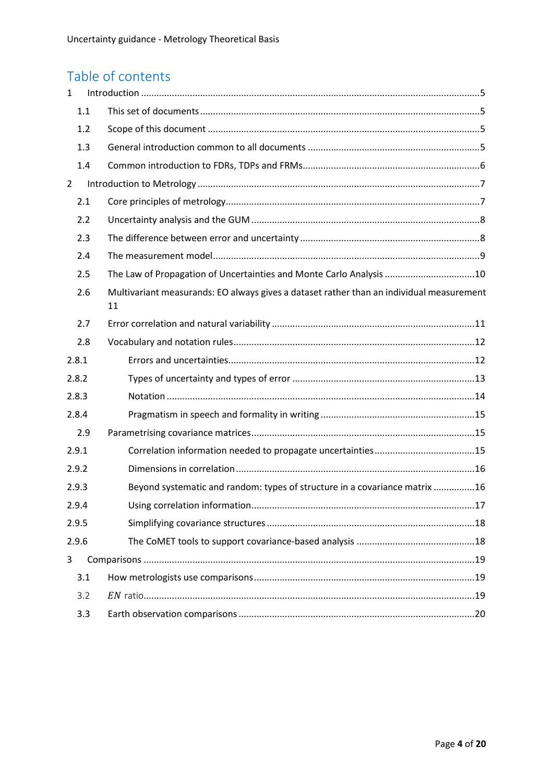# Table of contents

| 1              |       |                                                                                                |  |  |  |
|----------------|-------|------------------------------------------------------------------------------------------------|--|--|--|
|                | 1.1   |                                                                                                |  |  |  |
|                | 1.2   |                                                                                                |  |  |  |
|                | 1.3   |                                                                                                |  |  |  |
|                | 1.4   |                                                                                                |  |  |  |
| $\overline{2}$ |       |                                                                                                |  |  |  |
|                | 2.1   |                                                                                                |  |  |  |
|                | 2.2   |                                                                                                |  |  |  |
|                | 2.3   |                                                                                                |  |  |  |
| 2.4            |       |                                                                                                |  |  |  |
|                | 2.5   | The Law of Propagation of Uncertainties and Monte Carlo Analysis 10                            |  |  |  |
|                | 2.6   | Multivariant measurands: EO always gives a dataset rather than an individual measurement<br>11 |  |  |  |
|                | 2.7   |                                                                                                |  |  |  |
|                | 2.8   |                                                                                                |  |  |  |
|                | 2.8.1 |                                                                                                |  |  |  |
|                | 2.8.2 |                                                                                                |  |  |  |
|                | 2.8.3 |                                                                                                |  |  |  |
|                | 2.8.4 |                                                                                                |  |  |  |
|                | 2.9   |                                                                                                |  |  |  |
|                | 2.9.1 |                                                                                                |  |  |  |
|                | 2.9.2 |                                                                                                |  |  |  |
|                | 2.9.3 | Beyond systematic and random: types of structure in a covariance matrix 16                     |  |  |  |
|                | 2.9.4 |                                                                                                |  |  |  |
|                | 2.9.5 |                                                                                                |  |  |  |
|                | 2.9.6 |                                                                                                |  |  |  |
| 3              |       |                                                                                                |  |  |  |
|                | 3.1   |                                                                                                |  |  |  |
|                | 3.2   |                                                                                                |  |  |  |
|                | 3.3   |                                                                                                |  |  |  |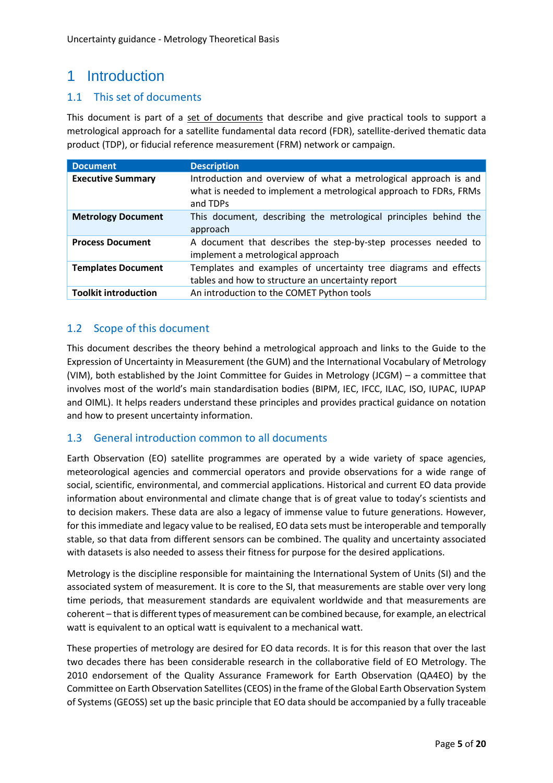# <span id="page-4-0"></span>1 Introduction

## <span id="page-4-1"></span>1.1 This set of documents

This document is part of a [set of documents](https://qa4eo.org/about/acknowledgements.html) that describe and give practical tools to support a metrological approach for a satellite fundamental data record (FDR), satellite-derived thematic data product (TDP), or fiducial reference measurement (FRM) network or campaign.

| <b>Document</b>             | <b>Description</b>                                                                                                                                |  |  |  |
|-----------------------------|---------------------------------------------------------------------------------------------------------------------------------------------------|--|--|--|
| <b>Executive Summary</b>    | Introduction and overview of what a metrological approach is and<br>what is needed to implement a metrological approach to FDRs, FRMs<br>and TDPs |  |  |  |
| <b>Metrology Document</b>   | This document, describing the metrological principles behind the<br>approach                                                                      |  |  |  |
| <b>Process Document</b>     | A document that describes the step-by-step processes needed to<br>implement a metrological approach                                               |  |  |  |
| <b>Templates Document</b>   | Templates and examples of uncertainty tree diagrams and effects<br>tables and how to structure an uncertainty report                              |  |  |  |
| <b>Toolkit introduction</b> | An introduction to the COMET Python tools                                                                                                         |  |  |  |

## <span id="page-4-2"></span>1.2 Scope of this document

This document describes the theory behind a metrological approach and links to the Guide to the Expression of Uncertainty in Measurement (the GUM) and the International Vocabulary of Metrology (VIM), both established by the Joint Committee for Guides in Metrology (JCGM) – a committee that involves most of the world's main standardisation bodies (BIPM, IEC, IFCC, ILAC, ISO, IUPAC, IUPAP and OIML). It helps readers understand these principles and provides practical guidance on notation and how to present uncertainty information.

## <span id="page-4-3"></span>1.3 General introduction common to all documents

Earth Observation (EO) satellite programmes are operated by a wide variety of space agencies, meteorological agencies and commercial operators and provide observations for a wide range of social, scientific, environmental, and commercial applications. Historical and current EO data provide information about environmental and climate change that is of great value to today's scientists and to decision makers. These data are also a legacy of immense value to future generations. However, for this immediate and legacy value to be realised, EO data sets must be interoperable and temporally stable, so that data from different sensors can be combined. The quality and uncertainty associated with datasets is also needed to assess their fitness for purpose for the desired applications.

Metrology is the discipline responsible for maintaining the International System of Units (SI) and the associated system of measurement. It is core to the SI, that measurements are stable over very long time periods, that measurement standards are equivalent worldwide and that measurements are coherent – that is different types of measurement can be combined because, for example, an electrical watt is equivalent to an optical watt is equivalent to a mechanical watt.

These properties of metrology are desired for EO data records. It is for this reason that over the last two decades there has been considerable research in the collaborative field of EO Metrology. The 2010 endorsement of the Quality Assurance Framework for Earth Observation (QA4EO) by the Committee on Earth Observation Satellites (CEOS) in the frame of the Global Earth Observation System of Systems (GEOSS) set up the basic principle that EO data should be accompanied by a fully traceable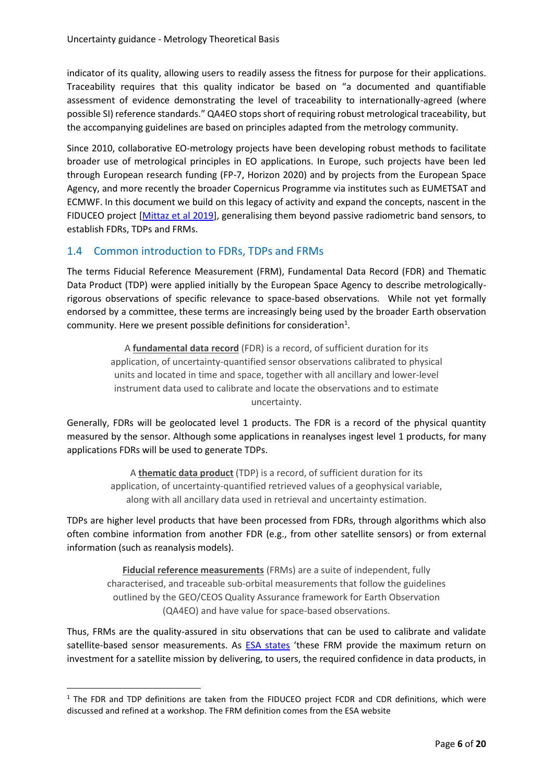indicator of its quality, allowing users to readily assess the fitness for purpose for their applications. Traceability requires that this quality indicator be based on "a documented and quantifiable assessment of evidence demonstrating the level of traceability to internationally-agreed (where possible SI) reference standards." QA4EO stops short of requiring robust metrological traceability, but the accompanying guidelines are based on principles adapted from the metrology community.

Since 2010, collaborative EO-metrology projects have been developing robust methods to facilitate broader use of metrological principles in EO applications. In Europe, such projects have been led through European research funding (FP-7, Horizon 2020) and by projects from the European Space Agency, and more recently the broader Copernicus Programme via institutes such as EUMETSAT and ECMWF. In this document we build on this legacy of activity and expand the concepts, nascent in the FIDUCEO project [\[Mittaz et al 2019\]](https://doi.org/10.1088/1681-7575/ab1705), generalising them beyond passive radiometric band sensors, to establish FDRs, TDPs and FRMs.

## <span id="page-5-0"></span>1.4 Common introduction to FDRs, TDPs and FRMs

The terms Fiducial Reference Measurement (FRM), Fundamental Data Record (FDR) and Thematic Data Product (TDP) were applied initially by the European Space Agency to describe metrologicallyrigorous observations of specific relevance to space-based observations. While not yet formally endorsed by a committee, these terms are increasingly being used by the broader Earth observation community. Here we present possible definitions for consideration $^1$ .

> A **fundamental data record** (FDR) is a record, of sufficient duration for its application, of uncertainty-quantified sensor observations calibrated to physical units and located in time and space, together with all ancillary and lower-level instrument data used to calibrate and locate the observations and to estimate uncertainty.

Generally, FDRs will be geolocated level 1 products. The FDR is a record of the physical quantity measured by the sensor. Although some applications in reanalyses ingest level 1 products, for many applications FDRs will be used to generate TDPs.

> A **thematic data product** (TDP) is a record, of sufficient duration for its application, of uncertainty-quantified retrieved values of a geophysical variable, along with all ancillary data used in retrieval and uncertainty estimation.

TDPs are higher level products that have been processed from FDRs, through algorithms which also often combine information from another FDR (e.g., from other satellite sensors) or from external information (such as reanalysis models).

**Fiducial reference measurements** (FRMs) are a suite of independent, fully characterised, and traceable sub-orbital measurements that follow the guidelines outlined by the GEO/CEOS Quality Assurance framework for Earth Observation (QA4EO) and have value for space-based observations.

Thus, FRMs are the quality-assured in situ observations that can be used to calibrate and validate satellite-based sensor measurements. As **ESA states** 'these FRM provide the maximum return on investment for a satellite mission by delivering, to users, the required confidence in data products, in

 $1$  The FDR and TDP definitions are taken from the FIDUCEO project FCDR and CDR definitions, which were discussed and refined at a workshop. The FRM definition comes from the ESA website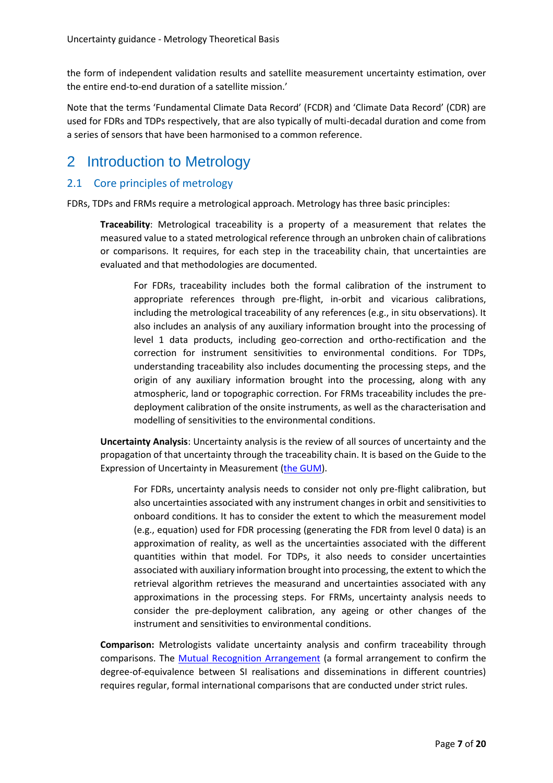the form of independent validation results and satellite measurement uncertainty estimation, over the entire end-to-end duration of a satellite mission.'

Note that the terms 'Fundamental Climate Data Record' (FCDR) and 'Climate Data Record' (CDR) are used for FDRs and TDPs respectively, that are also typically of multi-decadal duration and come from a series of sensors that have been harmonised to a common reference.

## <span id="page-6-0"></span>2 Introduction to Metrology

## <span id="page-6-1"></span>2.1 Core principles of metrology

FDRs, TDPs and FRMs require a metrological approach. Metrology has three basic principles:

**Traceability**: Metrological traceability is a property of a measurement that relates the measured value to a stated metrological reference through an unbroken chain of calibrations or comparisons. It requires, for each step in the traceability chain, that uncertainties are evaluated and that methodologies are documented.

For FDRs, traceability includes both the formal calibration of the instrument to appropriate references through pre-flight, in-orbit and vicarious calibrations, including the metrological traceability of any references (e.g., in situ observations). It also includes an analysis of any auxiliary information brought into the processing of level 1 data products, including geo-correction and ortho-rectification and the correction for instrument sensitivities to environmental conditions. For TDPs, understanding traceability also includes documenting the processing steps, and the origin of any auxiliary information brought into the processing, along with any atmospheric, land or topographic correction. For FRMs traceability includes the predeployment calibration of the onsite instruments, as well as the characterisation and modelling of sensitivities to the environmental conditions.

**Uncertainty Analysis**: Uncertainty analysis is the review of all sources of uncertainty and the propagation of that uncertainty through the traceability chain. It is based on the Guide to the Expression of Uncertainty in Measurement [\(the GUM\)](https://www.bipm.org/en/committees/jc/jcgm/publications).

For FDRs, uncertainty analysis needs to consider not only pre-flight calibration, but also uncertainties associated with any instrument changes in orbit and sensitivities to onboard conditions. It has to consider the extent to which the measurement model (e.g., equation) used for FDR processing (generating the FDR from level 0 data) is an approximation of reality, as well as the uncertainties associated with the different quantities within that model. For TDPs, it also needs to consider uncertainties associated with auxiliary information brought into processing, the extent to which the retrieval algorithm retrieves the measurand and uncertainties associated with any approximations in the processing steps. For FRMs, uncertainty analysis needs to consider the pre-deployment calibration, any ageing or other changes of the instrument and sensitivities to environmental conditions.

**Comparison:** Metrologists validate uncertainty analysis and confirm traceability through comparisons. The [Mutual Recognition Arrangement](https://www.bipm.org/en/cipm-mra) (a formal arrangement to confirm the degree-of-equivalence between SI realisations and disseminations in different countries) requires regular, formal international comparisons that are conducted under strict rules.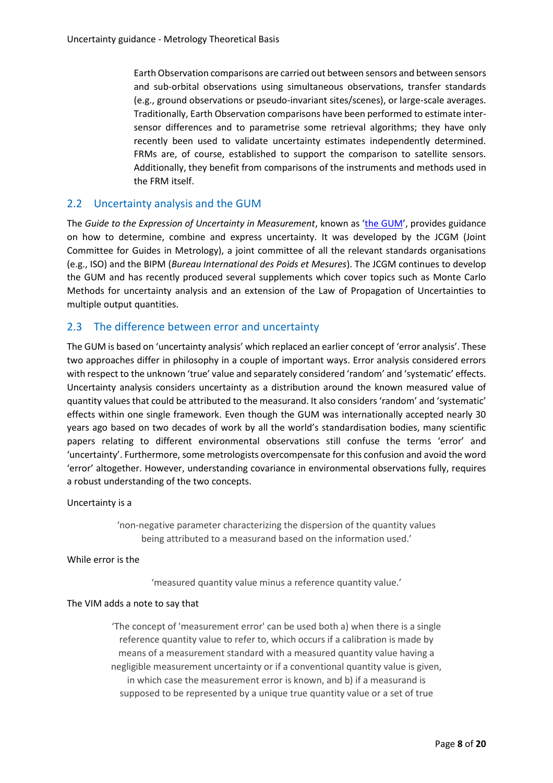Earth Observation comparisons are carried out between sensors and between sensors and sub-orbital observations using simultaneous observations, transfer standards (e.g., ground observations or pseudo-invariant sites/scenes), or large-scale averages. Traditionally, Earth Observation comparisons have been performed to estimate intersensor differences and to parametrise some retrieval algorithms; they have only recently been used to validate uncertainty estimates independently determined. FRMs are, of course, established to support the comparison to satellite sensors. Additionally, they benefit from comparisons of the instruments and methods used in the FRM itself.

## <span id="page-7-0"></span>2.2 Uncertainty analysis and the GUM

The *Guide to the Expression of Uncertainty in Measurement*, known as '[the GUM](https://www.bipm.org/en/cipm-mra)', provides guidance on how to determine, combine and express uncertainty. It was developed by the JCGM (Joint Committee for Guides in Metrology), a joint committee of all the relevant standards organisations (e.g., ISO) and the BIPM (*Bureau International des Poids et Mesures*). The JCGM continues to develop the GUM and has recently produced several supplements which cover topics such as Monte Carlo Methods for uncertainty analysis and an extension of the Law of Propagation of Uncertainties to multiple output quantities.

### <span id="page-7-1"></span>2.3 The difference between error and uncertainty

The GUM is based on 'uncertainty analysis' which replaced an earlier concept of 'error analysis'. These two approaches differ in philosophy in a couple of important ways. Error analysis considered errors with respect to the unknown 'true' value and separately considered 'random' and 'systematic' effects. Uncertainty analysis considers uncertainty as a distribution around the known measured value of quantity values that could be attributed to the measurand. It also considers 'random' and 'systematic' effects within one single framework. Even though the GUM was internationally accepted nearly 30 years ago based on two decades of work by all the world's standardisation bodies, many scientific papers relating to different environmental observations still confuse the terms 'error' and 'uncertainty'. Furthermore, some metrologists overcompensate for this confusion and avoid the word 'error' altogether. However, understanding covariance in environmental observations fully, requires a robust understanding of the two concepts.

Uncertainty is a

'non-negative parameter characterizing the dispersion of the quantity values being attributed to a measurand based on the information used.'

While error is the

'measured quantity value minus a reference quantity value.'

#### The VIM adds a note to say that

'The concept of 'measurement error' can be used both a) when there is a single reference quantity value to refer to, which occurs if a calibration is made by means of a measurement standard with a measured quantity value having a negligible measurement uncertainty or if a conventional quantity value is given, in which case the measurement error is known, and b) if a measurand is supposed to be represented by a unique true quantity value or a set of true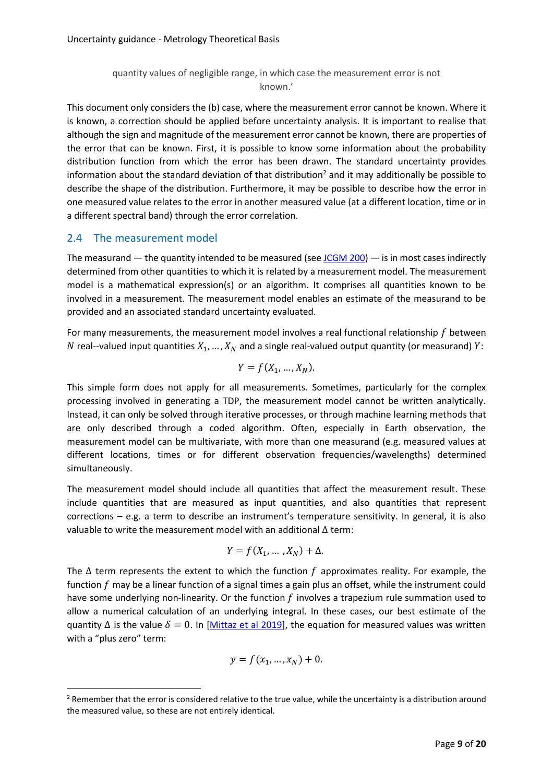### quantity values of negligible range, in which case the measurement error is not known.'

This document only considers the (b) case, where the measurement error cannot be known. Where it is known, a correction should be applied before uncertainty analysis. It is important to realise that although the sign and magnitude of the measurement error cannot be known, there are properties of the error that can be known. First, it is possible to know some information about the probability distribution function from which the error has been drawn. The standard uncertainty provides information about the standard deviation of that distribution<sup>2</sup> and it may additionally be possible to describe the shape of the distribution. Furthermore, it may be possible to describe how the error in one measured value relates to the error in another measured value (at a different location, time or in a different spectral band) through the error correlation.

### <span id="page-8-0"></span>2.4 The measurement model

The measurand — the quantity intended to be measured (see  $JCGM 200$ ) — is in most cases indirectly determined from other quantities to which it is related by a measurement model. The measurement model is a mathematical expression(s) or an algorithm. It comprises all quantities known to be involved in a measurement. The measurement model enables an estimate of the measurand to be provided and an associated standard uncertainty evaluated.

For many measurements, the measurement model involves a real functional relationship  $f$  between N real--valued input quantities  $X_1, ..., X_N$  and a single real-valued output quantity (or measurand) Y:

$$
Y = f(X_1, \ldots, X_N).
$$

This simple form does not apply for all measurements. Sometimes, particularly for the complex processing involved in generating a TDP, the measurement model cannot be written analytically. Instead, it can only be solved through iterative processes, or through machine learning methods that are only described through a coded algorithm. Often, especially in Earth observation, the measurement model can be multivariate, with more than one measurand (e.g. measured values at different locations, times or for different observation frequencies/wavelengths) determined simultaneously.

The measurement model should include all quantities that affect the measurement result. These include quantities that are measured as input quantities, and also quantities that represent corrections – e.g. a term to describe an instrument's temperature sensitivity. In general, it is also valuable to write the measurement model with an additional Δ term:

$$
Y = f(X_1, \ldots, X_N) + \Delta.
$$

The  $\Delta$  term represents the extent to which the function f approximates reality. For example, the function  $f$  may be a linear function of a signal times a gain plus an offset, while the instrument could have some underlying non-linearity. Or the function  $f$  involves a trapezium rule summation used to allow a numerical calculation of an underlying integral. In these cases, our best estimate of the quantity  $\Delta$  is the value  $\delta = 0$ . In [\[Mittaz et al 2019\]](https://doi.org/10.1088/1681-7575/ab1705), the equation for measured values was written with a "plus zero" term:

$$
y = f(x_1, \ldots, x_N) + 0.
$$

<sup>&</sup>lt;sup>2</sup> Remember that the error is considered relative to the true value, while the uncertainty is a distribution around the measured value, so these are not entirely identical.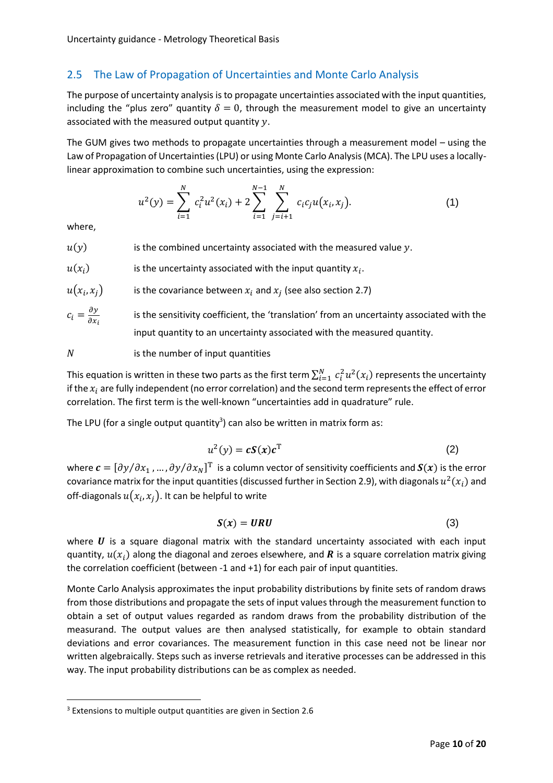## <span id="page-9-0"></span>2.5 The Law of Propagation of Uncertainties and Monte Carlo Analysis

The purpose of uncertainty analysis is to propagate uncertainties associated with the input quantities, including the "plus zero" quantity  $\delta = 0$ , through the measurement model to give an uncertainty associated with the measured output quantity  $y$ .

The GUM gives two methods to propagate uncertainties through a measurement model – using the Law of Propagation of Uncertainties (LPU) or using Monte Carlo Analysis (MCA). The LPU uses a locallylinear approximation to combine such uncertainties, using the expression:

$$
u^{2}(y) = \sum_{i=1}^{N} c_{i}^{2} u^{2}(x_{i}) + 2 \sum_{i=1}^{N-1} \sum_{j=i+1}^{N} c_{i} c_{j} u(x_{i}, x_{j}).
$$
 (1)

where,

 $u(y)$  is the combined uncertainty associated with the measured value y.

 $u(x_i)$ ) is the uncertainty associated with the input quantity  $x_i$ .

$$
u(x_i, x_j)
$$
 is the covariance between  $x_i$  and  $x_j$  (see also section 2.7)

$$
c_i = \frac{\partial y}{\partial x_i}
$$
 is the sensitivity coefficient, the 'translation' from an uncertainty associated with the input quantity to an uncertainty associated with the measured quantity.

$$
N
$$
 is the number of input quantities

This equation is written in these two parts as the first term  $\sum_{i=1}^N\,c_i^2u^2(x_i)$  represents the uncertainty if the  $x_i$  are fully independent (no error correlation) and the second term represents the effect of error correlation. The first term is the well-known "uncertainties add in quadrature" rule.

The LPU (for a single output quantity $^3$ ) can also be written in matrix form as:

<span id="page-9-1"></span>
$$
u^2(y) = cS(x)c^T
$$
 (2)

where  $\pmb{c}=[\partial y/\partial x_1$  , … ,  $\partial y/\partial x_N]^{\rm T}$  is a column vector of sensitivity coefficients and  $\pmb{S}(\pmb{x})$  is the error covariance matrix for the input quantities (discussed further in Sectio[n 2.9\)](#page-14-1), with diagonals  $u^2(x_i)$  and off-diagonals  $u(x_i, x_j).$  It can be helpful to write

<span id="page-9-2"></span>
$$
S(x) = URU \tag{3}
$$

where  $\bm{U}$  is a square diagonal matrix with the standard uncertainty associated with each input quantity,  $u(x_i)$  along the diagonal and zeroes elsewhere, and  $\bm{R}$  is a square correlation matrix giving the correlation coefficient (between -1 and +1) for each pair of input quantities.

Monte Carlo Analysis approximates the input probability distributions by finite sets of random draws from those distributions and propagate the sets of input values through the measurement function to obtain a set of output values regarded as random draws from the probability distribution of the measurand. The output values are then analysed statistically, for example to obtain standard deviations and error covariances. The measurement function in this case need not be linear nor written algebraically. Steps such as inverse retrievals and iterative processes can be addressed in this way. The input probability distributions can be as complex as needed.

<sup>&</sup>lt;sup>3</sup> Extensions to multiple output quantities are given in Section 2.6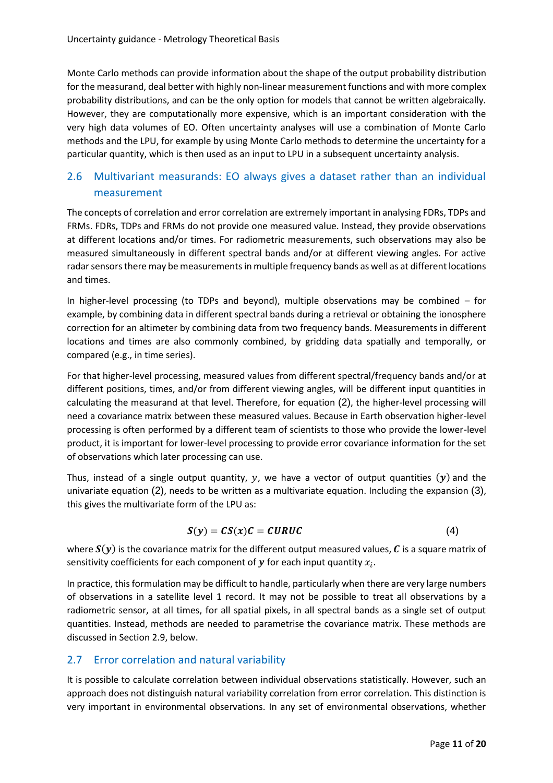Monte Carlo methods can provide information about the shape of the output probability distribution for the measurand, deal better with highly non-linear measurement functions and with more complex probability distributions, and can be the only option for models that cannot be written algebraically. However, they are computationally more expensive, which is an important consideration with the very high data volumes of EO. Often uncertainty analyses will use a combination of Monte Carlo methods and the LPU, for example by using Monte Carlo methods to determine the uncertainty for a particular quantity, which is then used as an input to LPU in a subsequent uncertainty analysis.

## <span id="page-10-0"></span>2.6 Multivariant measurands: EO always gives a dataset rather than an individual measurement

The concepts of correlation and error correlation are extremely important in analysing FDRs, TDPs and FRMs. FDRs, TDPs and FRMs do not provide one measured value. Instead, they provide observations at different locations and/or times. For radiometric measurements, such observations may also be measured simultaneously in different spectral bands and/or at different viewing angles. For active radar sensors there may be measurements in multiple frequency bands as well as at different locations and times.

In higher-level processing (to TDPs and beyond), multiple observations may be combined – for example, by combining data in different spectral bands during a retrieval or obtaining the ionosphere correction for an altimeter by combining data from two frequency bands. Measurements in different locations and times are also commonly combined, by gridding data spatially and temporally, or compared (e.g., in time series).

For that higher-level processing, measured values from different spectral/frequency bands and/or at different positions, times, and/or from different viewing angles, will be different input quantities in calculating the measurand at that level. Therefore, for equation [\(2\)](#page-9-1), the higher-level processing will need a covariance matrix between these measured values. Because in Earth observation higher-level processing is often performed by a different team of scientists to those who provide the lower-level product, it is important for lower-level processing to provide error covariance information for the set of observations which later processing can use.

Thus, instead of a single output quantity,  $y$ , we have a vector of output quantities  $(y)$  and the univariate equation [\(2\)](#page-9-1), needs to be written as a multivariate equation. Including the expansion [\(3\)](#page-9-2), this gives the multivariate form of the LPU as:

$$
S(y) = CS(x)C = CURUC
$$
 (4)

where  $S(y)$  is the covariance matrix for the different output measured values, C is a square matrix of sensitivity coefficients for each component of  $\bm{y}$  for each input quantity  $x_i.$ 

In practice, this formulation may be difficult to handle, particularly when there are very large numbers of observations in a satellite level 1 record. It may not be possible to treat all observations by a radiometric sensor, at all times, for all spatial pixels, in all spectral bands as a single set of output quantities. Instead, methods are needed to parametrise the covariance matrix. These methods are discussed in Sectio[n 2.9,](#page-14-1) below.

## <span id="page-10-1"></span>2.7 Error correlation and natural variability

It is possible to calculate correlation between individual observations statistically. However, such an approach does not distinguish natural variability correlation from error correlation. This distinction is very important in environmental observations. In any set of environmental observations, whether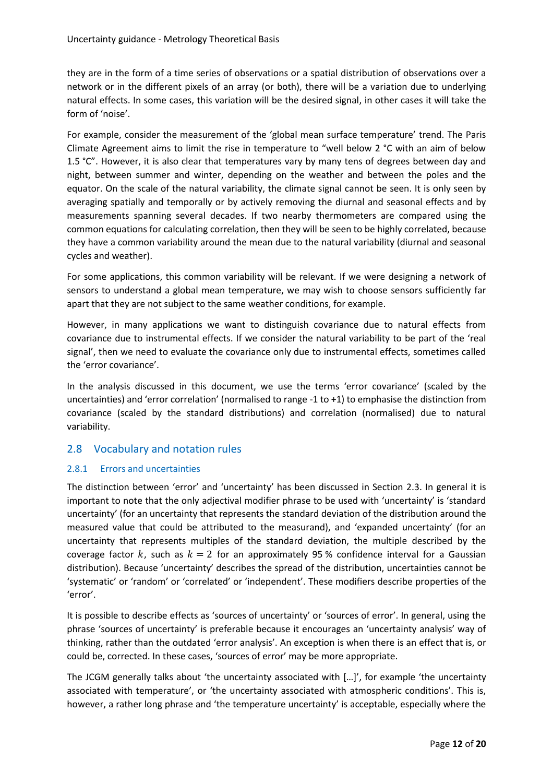they are in the form of a time series of observations or a spatial distribution of observations over a network or in the different pixels of an array (or both), there will be a variation due to underlying natural effects. In some cases, this variation will be the desired signal, in other cases it will take the form of 'noise'.

For example, consider the measurement of the 'global mean surface temperature' trend. The Paris Climate Agreement aims to limit the rise in temperature to "well below 2 °C with an aim of below 1.5 °C". However, it is also clear that temperatures vary by many tens of degrees between day and night, between summer and winter, depending on the weather and between the poles and the equator. On the scale of the natural variability, the climate signal cannot be seen. It is only seen by averaging spatially and temporally or by actively removing the diurnal and seasonal effects and by measurements spanning several decades. If two nearby thermometers are compared using the common equations for calculating correlation, then they will be seen to be highly correlated, because they have a common variability around the mean due to the natural variability (diurnal and seasonal cycles and weather).

For some applications, this common variability will be relevant. If we were designing a network of sensors to understand a global mean temperature, we may wish to choose sensors sufficiently far apart that they are not subject to the same weather conditions, for example.

However, in many applications we want to distinguish covariance due to natural effects from covariance due to instrumental effects. If we consider the natural variability to be part of the 'real signal', then we need to evaluate the covariance only due to instrumental effects, sometimes called the 'error covariance'.

In the analysis discussed in this document, we use the terms 'error covariance' (scaled by the uncertainties) and 'error correlation' (normalised to range -1 to +1) to emphasise the distinction from covariance (scaled by the standard distributions) and correlation (normalised) due to natural variability.

## <span id="page-11-0"></span>2.8 Vocabulary and notation rules

### <span id="page-11-1"></span>2.8.1 Errors and uncertainties

The distinction between 'error' and 'uncertainty' has been discussed in Section [2.3.](#page-7-1) In general it is important to note that the only adjectival modifier phrase to be used with 'uncertainty' is 'standard uncertainty' (for an uncertainty that represents the standard deviation of the distribution around the measured value that could be attributed to the measurand), and 'expanded uncertainty' (for an uncertainty that represents multiples of the standard deviation, the multiple described by the coverage factor k, such as  $k = 2$  for an approximately 95 % confidence interval for a Gaussian distribution). Because 'uncertainty' describes the spread of the distribution, uncertainties cannot be 'systematic' or 'random' or 'correlated' or 'independent'. These modifiers describe properties of the 'error'.

It is possible to describe effects as 'sources of uncertainty' or 'sources of error'. In general, using the phrase 'sources of uncertainty' is preferable because it encourages an 'uncertainty analysis' way of thinking, rather than the outdated 'error analysis'. An exception is when there is an effect that is, or could be, corrected. In these cases, 'sources of error' may be more appropriate.

The JCGM generally talks about 'the uncertainty associated with […]', for example 'the uncertainty associated with temperature', or 'the uncertainty associated with atmospheric conditions'. This is, however, a rather long phrase and 'the temperature uncertainty' is acceptable, especially where the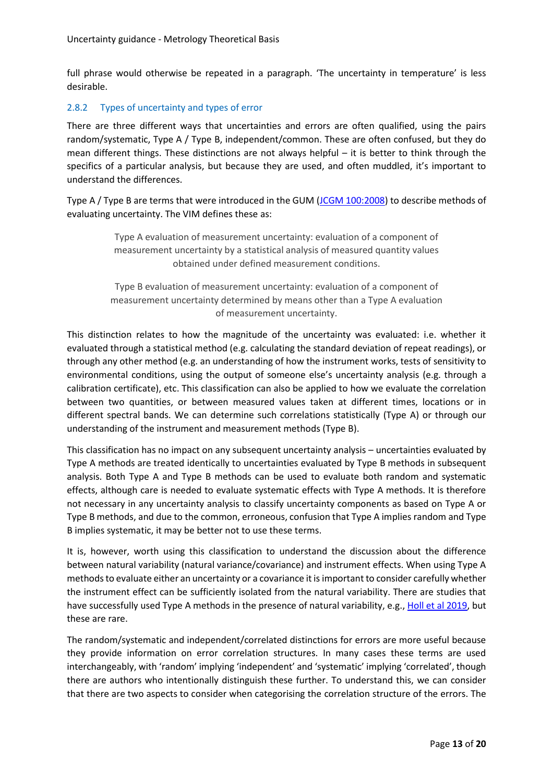full phrase would otherwise be repeated in a paragraph. 'The uncertainty in temperature' is less desirable.

#### <span id="page-12-0"></span>2.8.2 Types of uncertainty and types of error

There are three different ways that uncertainties and errors are often qualified, using the pairs random/systematic, Type A / Type B, independent/common. These are often confused, but they do mean different things. These distinctions are not always helpful – it is better to think through the specifics of a particular analysis, but because they are used, and often muddled, it's important to understand the differences.

Type A / Type B are terms that were introduced in the GUM [\(JCGM 100:2008\)](https://www.bipm.org/en/committees/jc/jcgm/publications) to describe methods of evaluating uncertainty. The VIM defines these as:

> Type A evaluation of measurement uncertainty: evaluation of a component of measurement uncertainty by a statistical analysis of measured quantity values obtained under defined measurement conditions.

Type B evaluation of measurement uncertainty: evaluation of a component of measurement uncertainty determined by means other than a Type A evaluation of measurement uncertainty.

This distinction relates to how the magnitude of the uncertainty was evaluated: i.e. whether it evaluated through a statistical method (e.g. calculating the standard deviation of repeat readings), or through any other method (e.g. an understanding of how the instrument works, tests of sensitivity to environmental conditions, using the output of someone else's uncertainty analysis (e.g. through a calibration certificate), etc. This classification can also be applied to how we evaluate the correlation between two quantities, or between measured values taken at different times, locations or in different spectral bands. We can determine such correlations statistically (Type A) or through our understanding of the instrument and measurement methods (Type B).

This classification has no impact on any subsequent uncertainty analysis – uncertainties evaluated by Type A methods are treated identically to uncertainties evaluated by Type B methods in subsequent analysis. Both Type A and Type B methods can be used to evaluate both random and systematic effects, although care is needed to evaluate systematic effects with Type A methods. It is therefore not necessary in any uncertainty analysis to classify uncertainty components as based on Type A or Type B methods, and due to the common, erroneous, confusion that Type A implies random and Type B implies systematic, it may be better not to use these terms.

It is, however, worth using this classification to understand the discussion about the difference between natural variability (natural variance/covariance) and instrument effects. When using Type A methods to evaluate either an uncertainty or a covariance it isimportant to consider carefully whether the instrument effect can be sufficiently isolated from the natural variability. There are studies that have successfully used Type A methods in the presence of natural variability, e.g., [Holl et al 2019,](https://doi.org/10.3390/rs11111337) but these are rare.

The random/systematic and independent/correlated distinctions for errors are more useful because they provide information on error correlation structures. In many cases these terms are used interchangeably, with 'random' implying 'independent' and 'systematic' implying 'correlated', though there are authors who intentionally distinguish these further. To understand this, we can consider that there are two aspects to consider when categorising the correlation structure of the errors. The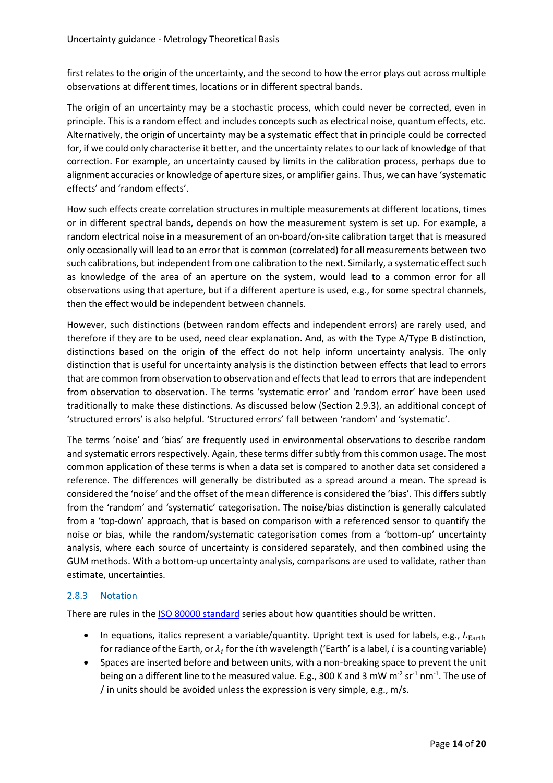first relates to the origin of the uncertainty, and the second to how the error plays out across multiple observations at different times, locations or in different spectral bands.

The origin of an uncertainty may be a stochastic process, which could never be corrected, even in principle. This is a random effect and includes concepts such as electrical noise, quantum effects, etc. Alternatively, the origin of uncertainty may be a systematic effect that in principle could be corrected for, if we could only characterise it better, and the uncertainty relates to our lack of knowledge of that correction. For example, an uncertainty caused by limits in the calibration process, perhaps due to alignment accuracies or knowledge of aperture sizes, or amplifier gains. Thus, we can have 'systematic effects' and 'random effects'.

How such effects create correlation structures in multiple measurements at different locations, times or in different spectral bands, depends on how the measurement system is set up. For example, a random electrical noise in a measurement of an on-board/on-site calibration target that is measured only occasionally will lead to an error that is common (correlated) for all measurements between two such calibrations, but independent from one calibration to the next. Similarly, a systematic effect such as knowledge of the area of an aperture on the system, would lead to a common error for all observations using that aperture, but if a different aperture is used, e.g., for some spectral channels, then the effect would be independent between channels.

However, such distinctions (between random effects and independent errors) are rarely used, and therefore if they are to be used, need clear explanation. And, as with the Type A/Type B distinction, distinctions based on the origin of the effect do not help inform uncertainty analysis. The only distinction that is useful for uncertainty analysis is the distinction between effects that lead to errors that are common from observation to observation and effects that lead to errors that are independent from observation to observation. The terms 'systematic error' and 'random error' have been used traditionally to make these distinctions. As discussed below (Section [2.9.3\)](#page-15-1), an additional concept of 'structured errors' is also helpful. 'Structured errors' fall between 'random' and 'systematic'.

The terms 'noise' and 'bias' are frequently used in environmental observations to describe random and systematic errors respectively. Again, these terms differ subtly from this common usage. The most common application of these terms is when a data set is compared to another data set considered a reference. The differences will generally be distributed as a spread around a mean. The spread is considered the 'noise' and the offset of the mean difference is considered the 'bias'. This differs subtly from the 'random' and 'systematic' categorisation. The noise/bias distinction is generally calculated from a 'top-down' approach, that is based on comparison with a referenced sensor to quantify the noise or bias, while the random/systematic categorisation comes from a 'bottom-up' uncertainty analysis, where each source of uncertainty is considered separately, and then combined using the GUM methods. With a bottom-up uncertainty analysis, comparisons are used to validate, rather than estimate, uncertainties.

### <span id="page-13-0"></span>2.8.3 Notation

There are rules in the [ISO 80000 standard](https://www.iso.org/standard/30669.html) series about how quantities should be written.

- In equations, italics represent a variable/quantity. Upright text is used for labels, e.g.,  $L_{\text{Earth}}$ for radiance of the Earth, or  $\lambda_i$  for the  $i$ th wavelength ('Earth' is a label,  $i$  is a counting variable)
- Spaces are inserted before and between units, with a non-breaking space to prevent the unit being on a different line to the measured value. E.g., 300 K and 3 mW m<sup>-2</sup> sr<sup>-1</sup> nm<sup>-1</sup>. The use of / in units should be avoided unless the expression is very simple, e.g., m/s.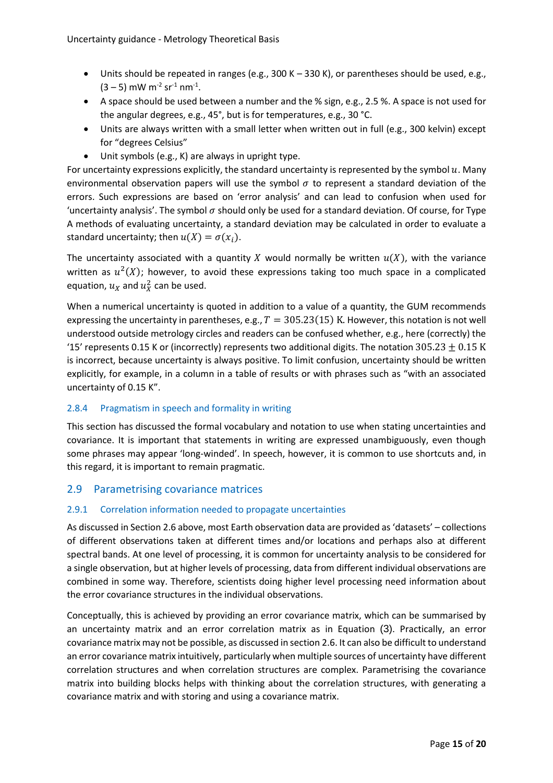- Units should be repeated in ranges (e.g., 300 K 330 K), or parentheses should be used, e.g.,  $(3-5)$  mW m<sup>-2</sup> sr<sup>-1</sup> nm<sup>-1</sup>.
- A space should be used between a number and the % sign, e.g., 2.5 %. A space is not used for the angular degrees, e.g., 45°, but is for temperatures, e.g., 30 °C.
- Units are always written with a small letter when written out in full (e.g., 300 kelvin) except for "degrees Celsius"
- Unit symbols (e.g., K) are always in upright type.

For uncertainty expressions explicitly, the standard uncertainty is represented by the symbol  $u$ . Many environmental observation papers will use the symbol  $\sigma$  to represent a standard deviation of the errors. Such expressions are based on 'error analysis' and can lead to confusion when used for 'uncertainty analysis'. The symbol  $\sigma$  should only be used for a standard deviation. Of course, for Type A methods of evaluating uncertainty, a standard deviation may be calculated in order to evaluate a standard uncertainty; then  $u(X) = \sigma(x_i)$ .

The uncertainty associated with a quantity X would normally be written  $u(X)$ , with the variance written as  $u^2(X)$ ; however, to avoid these expressions taking too much space in a complicated equation,  $u_X$  and  $u_X^2$  can be used.

When a numerical uncertainty is quoted in addition to a value of a quantity, the GUM recommends expressing the uncertainty in parentheses, e.g.,  $T = 305.23(15)$  K. However, this notation is not well understood outside metrology circles and readers can be confused whether, e.g., here (correctly) the '15' represents 0.15 K or (incorrectly) represents two additional digits. The notation 305.23  $\pm$  0.15 K is incorrect, because uncertainty is always positive. To limit confusion, uncertainty should be written explicitly, for example, in a column in a table of results or with phrases such as "with an associated uncertainty of 0.15 K".

## <span id="page-14-0"></span>2.8.4 Pragmatism in speech and formality in writing

This section has discussed the formal vocabulary and notation to use when stating uncertainties and covariance. It is important that statements in writing are expressed unambiguously, even though some phrases may appear 'long-winded'. In speech, however, it is common to use shortcuts and, in this regard, it is important to remain pragmatic.

### <span id="page-14-1"></span>2.9 Parametrising covariance matrices

### <span id="page-14-2"></span>2.9.1 Correlation information needed to propagate uncertainties

As discussed in Sectio[n 2.6](#page-10-0) above, most Earth observation data are provided as 'datasets' – collections of different observations taken at different times and/or locations and perhaps also at different spectral bands. At one level of processing, it is common for uncertainty analysis to be considered for a single observation, but at higher levels of processing, data from different individual observations are combined in some way. Therefore, scientists doing higher level processing need information about the error covariance structures in the individual observations.

Conceptually, this is achieved by providing an error covariance matrix, which can be summarised by an uncertainty matrix and an error correlation matrix as in Equation [\(3\)](#page-9-2). Practically, an error covariance matrix may not be possible, as discussed in section [2.6.](#page-10-0) It can also be difficult to understand an error covariance matrix intuitively, particularly when multiple sources of uncertainty have different correlation structures and when correlation structures are complex. Parametrising the covariance matrix into building blocks helps with thinking about the correlation structures, with generating a covariance matrix and with storing and using a covariance matrix.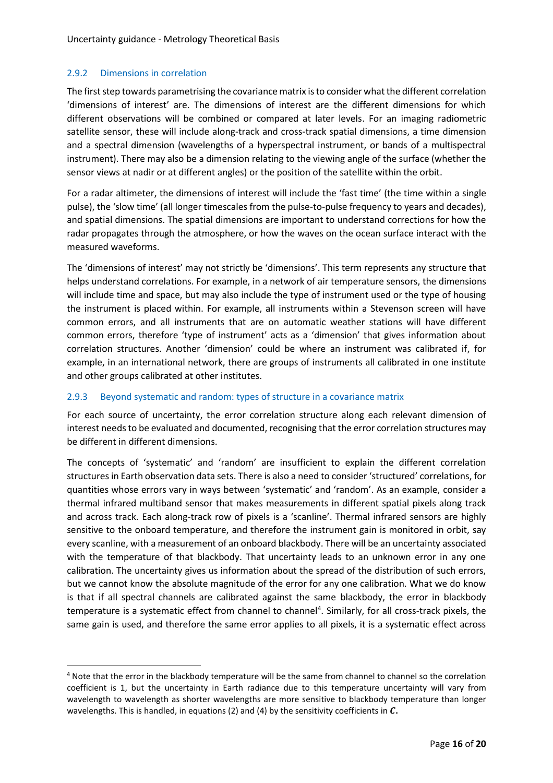#### <span id="page-15-0"></span>2.9.2 Dimensions in correlation

The first step towards parametrising the covariance matrix is to consider what the different correlation 'dimensions of interest' are. The dimensions of interest are the different dimensions for which different observations will be combined or compared at later levels. For an imaging radiometric satellite sensor, these will include along-track and cross-track spatial dimensions, a time dimension and a spectral dimension (wavelengths of a hyperspectral instrument, or bands of a multispectral instrument). There may also be a dimension relating to the viewing angle of the surface (whether the sensor views at nadir or at different angles) or the position of the satellite within the orbit.

For a radar altimeter, the dimensions of interest will include the 'fast time' (the time within a single pulse), the 'slow time' (all longer timescales from the pulse-to-pulse frequency to years and decades), and spatial dimensions. The spatial dimensions are important to understand corrections for how the radar propagates through the atmosphere, or how the waves on the ocean surface interact with the measured waveforms.

The 'dimensions of interest' may not strictly be 'dimensions'. This term represents any structure that helps understand correlations. For example, in a network of air temperature sensors, the dimensions will include time and space, but may also include the type of instrument used or the type of housing the instrument is placed within. For example, all instruments within a Stevenson screen will have common errors, and all instruments that are on automatic weather stations will have different common errors, therefore 'type of instrument' acts as a 'dimension' that gives information about correlation structures. Another 'dimension' could be where an instrument was calibrated if, for example, in an international network, there are groups of instruments all calibrated in one institute and other groups calibrated at other institutes.

### <span id="page-15-1"></span>2.9.3 Beyond systematic and random: types of structure in a covariance matrix

For each source of uncertainty, the error correlation structure along each relevant dimension of interest needs to be evaluated and documented, recognising that the error correlation structures may be different in different dimensions.

The concepts of 'systematic' and 'random' are insufficient to explain the different correlation structures in Earth observation data sets. There is also a need to consider 'structured' correlations, for quantities whose errors vary in ways between 'systematic' and 'random'. As an example, consider a thermal infrared multiband sensor that makes measurements in different spatial pixels along track and across track. Each along-track row of pixels is a 'scanline'. Thermal infrared sensors are highly sensitive to the onboard temperature, and therefore the instrument gain is monitored in orbit, say every scanline, with a measurement of an onboard blackbody. There will be an uncertainty associated with the temperature of that blackbody. That uncertainty leads to an unknown error in any one calibration. The uncertainty gives us information about the spread of the distribution of such errors, but we cannot know the absolute magnitude of the error for any one calibration. What we do know is that if all spectral channels are calibrated against the same blackbody, the error in blackbody temperature is a systematic effect from channel to channel<sup>4</sup>. Similarly, for all cross-track pixels, the same gain is used, and therefore the same error applies to all pixels, it is a systematic effect across

<sup>4</sup> Note that the error in the blackbody temperature will be the same from channel to channel so the correlation coefficient is 1, but the uncertainty in Earth radiance due to this temperature uncertainty will vary from wavelength to wavelength as shorter wavelengths are more sensitive to blackbody temperature than longer wavelengths. This is handled, in equations (2) and (4) by the sensitivity coefficients in C.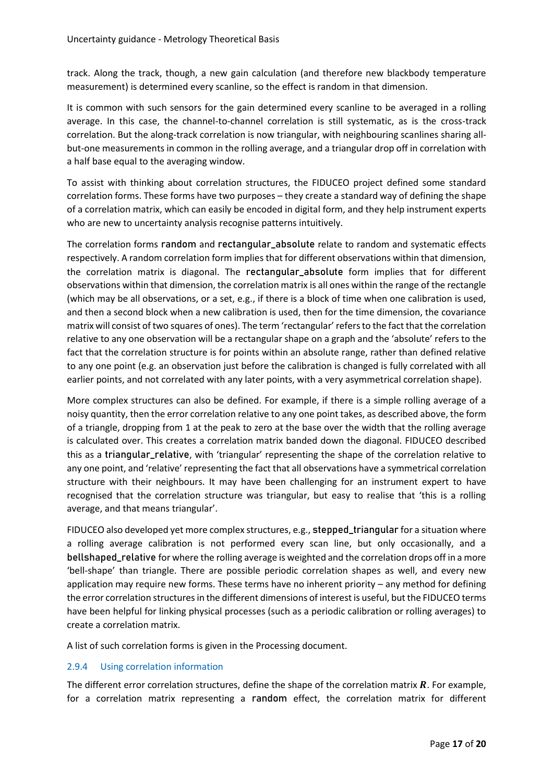track. Along the track, though, a new gain calculation (and therefore new blackbody temperature measurement) is determined every scanline, so the effect is random in that dimension.

It is common with such sensors for the gain determined every scanline to be averaged in a rolling average. In this case, the channel-to-channel correlation is still systematic, as is the cross-track correlation. But the along-track correlation is now triangular, with neighbouring scanlines sharing allbut-one measurements in common in the rolling average, and a triangular drop off in correlation with a half base equal to the averaging window.

To assist with thinking about correlation structures, the FIDUCEO project defined some standard correlation forms. These forms have two purposes – they create a standard way of defining the shape of a correlation matrix, which can easily be encoded in digital form, and they help instrument experts who are new to uncertainty analysis recognise patterns intuitively.

The correlation forms random and rectangular\_absolute relate to random and systematic effects respectively. A random correlation form implies that for different observations within that dimension, the correlation matrix is diagonal. The rectangular\_absolute form implies that for different observations within that dimension, the correlation matrix is all ones within the range of the rectangle (which may be all observations, or a set, e.g., if there is a block of time when one calibration is used, and then a second block when a new calibration is used, then for the time dimension, the covariance matrix will consist of two squares of ones). The term 'rectangular' refers to the fact that the correlation relative to any one observation will be a rectangular shape on a graph and the 'absolute' refers to the fact that the correlation structure is for points within an absolute range, rather than defined relative to any one point (e.g. an observation just before the calibration is changed is fully correlated with all earlier points, and not correlated with any later points, with a very asymmetrical correlation shape).

More complex structures can also be defined. For example, if there is a simple rolling average of a noisy quantity, then the error correlation relative to any one point takes, as described above, the form of a triangle, dropping from 1 at the peak to zero at the base over the width that the rolling average is calculated over. This creates a correlation matrix banded down the diagonal. FIDUCEO described this as a triangular\_relative, with 'triangular' representing the shape of the correlation relative to any one point, and 'relative' representing the fact that all observations have a symmetrical correlation structure with their neighbours. It may have been challenging for an instrument expert to have recognised that the correlation structure was triangular, but easy to realise that 'this is a rolling average, and that means triangular'.

FIDUCEO also developed yet more complex structures, e.g., stepped\_triangular for a situation where a rolling average calibration is not performed every scan line, but only occasionally, and a bellshaped\_relative for where the rolling average is weighted and the correlation drops off in a more 'bell-shape' than triangle. There are possible periodic correlation shapes as well, and every new application may require new forms. These terms have no inherent priority – any method for defining the error correlation structures in the different dimensions of interest is useful, but the FIDUCEO terms have been helpful for linking physical processes (such as a periodic calibration or rolling averages) to create a correlation matrix.

A list of such correlation forms is given in the Processing document.

#### <span id="page-16-0"></span>2.9.4 Using correlation information

The different error correlation structures, define the shape of the correlation matrix  $R$ . For example, for a correlation matrix representing a random effect, the correlation matrix for different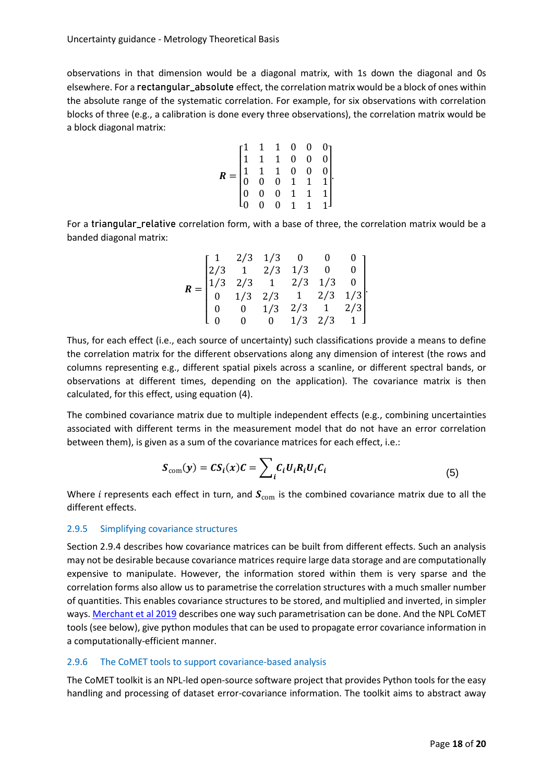observations in that dimension would be a diagonal matrix, with 1s down the diagonal and 0s elsewhere. For a rectangular\_absolute effect, the correlation matrix would be a block of ones within the absolute range of the systematic correlation. For example, for six observations with correlation blocks of three (e.g., a calibration is done every three observations), the correlation matrix would be a block diagonal matrix:

$$
R = \begin{bmatrix} 1 & 1 & 1 & 0 & 0 & 0 \\ 1 & 1 & 1 & 0 & 0 & 0 \\ 1 & 1 & 1 & 0 & 0 & 0 \\ 0 & 0 & 0 & 1 & 1 & 1 \\ 0 & 0 & 0 & 1 & 1 & 1 \\ 0 & 0 & 0 & 1 & 1 & 1 \end{bmatrix}
$$

For a triangular\_relative correlation form, with a base of three, the correlation matrix would be a banded diagonal matrix:

|  |  | $\begin{bmatrix} 1 & 2/3 & 1/3 & 0 & 0 & 0 \\ 2/3 & 1 & 2/3 & 1/3 & 0 & 0 \\ 1/3 & 2/3 & 1 & 2/3 & 1/3 & 0 \\ 0 & 1/3 & 2/3 & 1 & 2/3 & 1/3 \\ 0 & 0 & 1/3 & 2/3 & 1 & 2/3 \\ 0 & 0 & 0 & 1/3 & 2/3 & 1 \end{bmatrix}$ |  |
|--|--|------------------------------------------------------------------------------------------------------------------------------------------------------------------------------------------------------------------------|--|
|  |  |                                                                                                                                                                                                                        |  |
|  |  |                                                                                                                                                                                                                        |  |

Thus, for each effect (i.e., each source of uncertainty) such classifications provide a means to define the correlation matrix for the different observations along any dimension of interest (the rows and columns representing e.g., different spatial pixels across a scanline, or different spectral bands, or observations at different times, depending on the application). The covariance matrix is then calculated, for this effect, using equation (4).

The combined covariance matrix due to multiple independent effects (e.g., combining uncertainties associated with different terms in the measurement model that do not have an error correlation between them), is given as a sum of the covariance matrices for each effect, i.e.:

$$
S_{\text{com}}(y) = CS_i(x)C = \sum_i C_i U_i R_i U_i C_i \tag{5}
$$

Where *i* represents each effect in turn, and  $S_{\text{com}}$  is the combined covariance matrix due to all the different effects.

#### <span id="page-17-0"></span>2.9.5 Simplifying covariance structures

Sectio[n 2.9.4](#page-16-0) describes how covariance matrices can be built from different effects. Such an analysis may not be desirable because covariance matrices require large data storage and are computationally expensive to manipulate. However, the information stored within them is very sparse and the correlation forms also allow us to parametrise the correlation structures with a much smaller number of quantities. This enables covariance structures to be stored, and multiplied and inverted, in simpler ways[. Merchant et al 2019](https://doi.org/10.3390/rs11050474) describes one way such parametrisation can be done. And the NPL CoMET tools (see below), give python modules that can be used to propagate error covariance information in a computationally-efficient manner.

#### <span id="page-17-1"></span>2.9.6 The CoMET tools to support covariance-based analysis

The CoMET toolkit is an NPL-led open-source software project that provides Python tools for the easy handling and processing of dataset error-covariance information. The toolkit aims to abstract away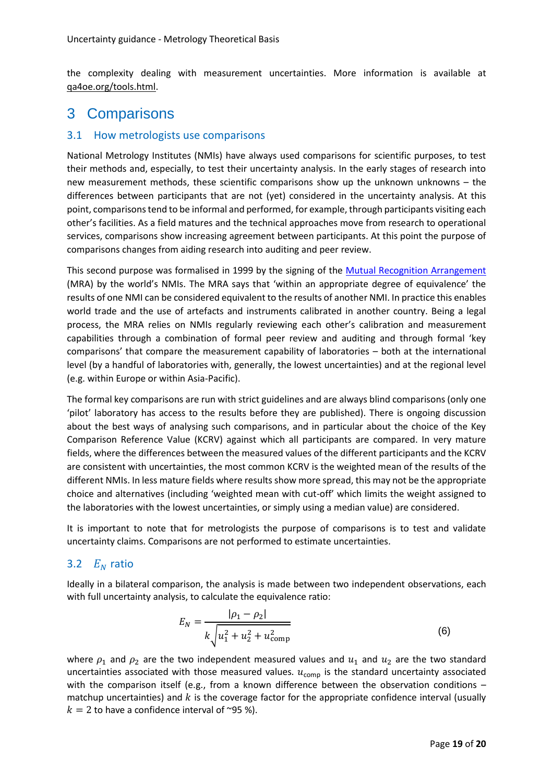the complexity dealing with measurement uncertainties. More information is available at [qa4oe.org/tools.html.](https://qa4eo.org/toolkit.html)

## <span id="page-18-0"></span>3 Comparisons

### <span id="page-18-1"></span>3.1 How metrologists use comparisons

National Metrology Institutes (NMIs) have always used comparisons for scientific purposes, to test their methods and, especially, to test their uncertainty analysis. In the early stages of research into new measurement methods, these scientific comparisons show up the unknown unknowns – the differences between participants that are not (yet) considered in the uncertainty analysis. At this point, comparisons tend to be informal and performed, for example, through participants visiting each other's facilities. As a field matures and the technical approaches move from research to operational services, comparisons show increasing agreement between participants. At this point the purpose of comparisons changes from aiding research into auditing and peer review.

This second purpose was formalised in 1999 by the signing of the [Mutual Recognition Arrangement](http://www.bipm.org/en/cipm-mra/) (MRA) by the world's NMIs. The MRA says that 'within an appropriate degree of equivalence' the results of one NMI can be considered equivalent to the results of another NMI. In practice this enables world trade and the use of artefacts and instruments calibrated in another country. Being a legal process, the MRA relies on NMIs regularly reviewing each other's calibration and measurement capabilities through a combination of formal peer review and auditing and through formal 'key comparisons' that compare the measurement capability of laboratories – both at the international level (by a handful of laboratories with, generally, the lowest uncertainties) and at the regional level (e.g. within Europe or within Asia-Pacific).

The formal key comparisons are run with strict guidelines and are always blind comparisons (only one 'pilot' laboratory has access to the results before they are published). There is ongoing discussion about the best ways of analysing such comparisons, and in particular about the choice of the Key Comparison Reference Value (KCRV) against which all participants are compared. In very mature fields, where the differences between the measured values of the different participants and the KCRV are consistent with uncertainties, the most common KCRV is the weighted mean of the results of the different NMIs. In less mature fields where results show more spread, this may not be the appropriate choice and alternatives (including 'weighted mean with cut-off' which limits the weight assigned to the laboratories with the lowest uncertainties, or simply using a median value) are considered.

It is important to note that for metrologists the purpose of comparisons is to test and validate uncertainty claims. Comparisons are not performed to estimate uncertainties.

## <span id="page-18-2"></span>3.2  $E_N$  ratio

Ideally in a bilateral comparison, the analysis is made between two independent observations, each with full uncertainty analysis, to calculate the equivalence ratio:

$$
E_N = \frac{|\rho_1 - \rho_2|}{k \sqrt{u_1^2 + u_2^2 + u_{\text{comp}}^2}}
$$
(6)

where  $\rho_1$  and  $\rho_2$  are the two independent measured values and  $u_1$  and  $u_2$  are the two standard uncertainties associated with those measured values.  $u_{comp}$  is the standard uncertainty associated with the comparison itself (e.g., from a known difference between the observation conditions  $$ matchup uncertainties) and  $k$  is the coverage factor for the appropriate confidence interval (usually  $k = 2$  to have a confidence interval of ~95 %).